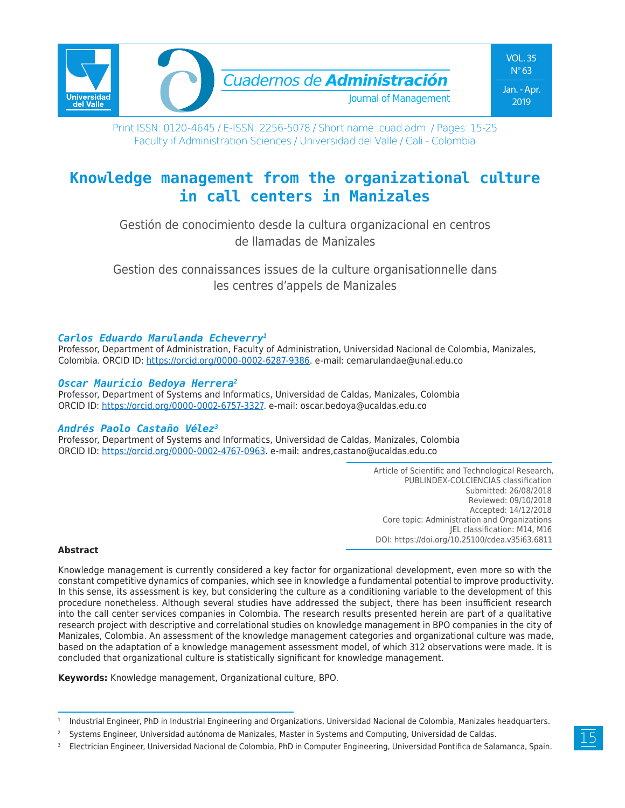

Print ISSN: 0120-4645 / E-ISSN: 2256-5078 / Short name: cuad.adm. / Pages: 15-25 Faculty if Administration Sciences / Universidad del Valle / Cali - Colombia

# **Knowledge management from the organizational culture in call centers in Manizales**

Gestión de conocimiento desde la cultura organizacional en centros de llamadas de Manizales

Gestion des connaissances issues de la culture organisationnelle dans les centres d'appels de Manizales

### *Carlos Eduardo Marulanda Echeverry1*

Professor, Department of Administration, Faculty of Administration, Universidad Nacional de Colombia, Manizales, Colombia. ORCID ID: https://orcid.org/0000-0002-6287-9386. e-mail: cemarulandae@unal.edu.co

### *Oscar Mauricio Bedoya Herrera2*

Professor, Department of Systems and Informatics, Universidad de Caldas, Manizales, Colombia ORCID ID: https://orcid.org/0000-0002-6757-3327. e-mail: oscar.bedoya@ucaldas.edu.co

#### *Andrés Paolo Castaño Vélez3*

Professor, Department of Systems and Informatics, Universidad de Caldas, Manizales, Colombia ORCID ID: https://orcid.org/0000-0002-4767-0963. e-mail: andres,castano@ucaldas.edu.co

> Article of Scientific and Technological Research, PUBLINDEX-COLCIENCIAS classification Submitted: 26/08/2018 Reviewed: 09/10/2018 Accepted: 14/12/2018 Core topic: Administration and Organizations JEL classification: M14, M16 DOI: https://doi.org/10.25100/cdea.v35i63.6811

#### **Abstract**

Knowledge management is currently considered a key factor for organizational development, even more so with the constant competitive dynamics of companies, which see in knowledge a fundamental potential to improve productivity. In this sense, its assessment is key, but considering the culture as a conditioning variable to the development of this procedure nonetheless. Although several studies have addressed the subject, there has been insufficient research into the call center services companies in Colombia. The research results presented herein are part of a qualitative research project with descriptive and correlational studies on knowledge management in BPO companies in the city of Manizales, Colombia. An assessment of the knowledge management categories and organizational culture was made, based on the adaptation of a knowledge management assessment model, of which 312 observations were made. It is concluded that organizational culture is statistically significant for knowledge management.

**Keywords:** Knowledge management, Organizational culture, BPO.

<sup>&</sup>lt;sup>1</sup> Industrial Engineer, PhD in Industrial Engineering and Organizations, Universidad Nacional de Colombia, Manizales headquarters.

<sup>&</sup>lt;sup>2</sup> Systems Engineer, Universidad autónoma de Manizales, Master in Systems and Computing, Universidad de Caldas.

<sup>3</sup> Electrician Engineer, Universidad Nacional de Colombia, PhD in Computer Engineering, Universidad Pontifica de Salamanca, Spain.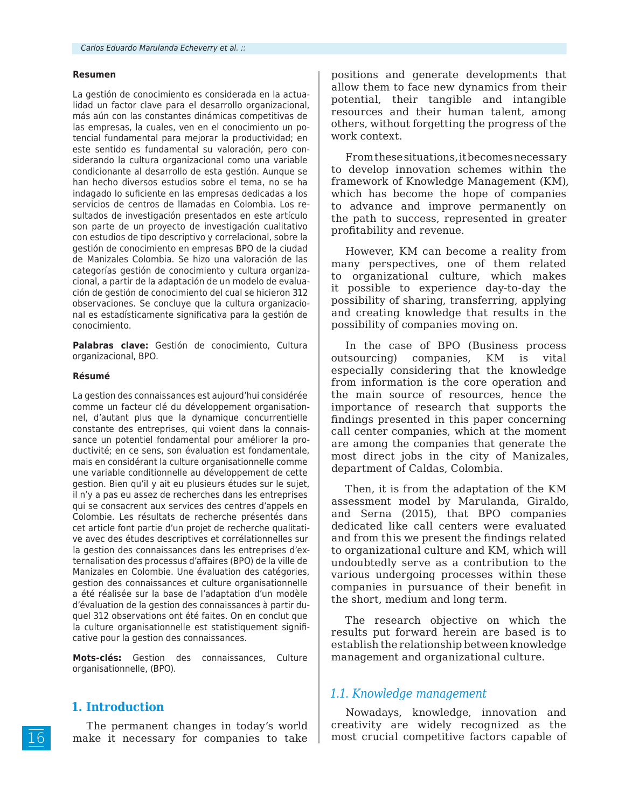#### **Resumen**

La gestión de conocimiento es considerada en la actualidad un factor clave para el desarrollo organizacional, más aún con las constantes dinámicas competitivas de las empresas, la cuales, ven en el conocimiento un potencial fundamental para mejorar la productividad; en este sentido es fundamental su valoración, pero considerando la cultura organizacional como una variable condicionante al desarrollo de esta gestión. Aunque se han hecho diversos estudios sobre el tema, no se ha indagado lo suficiente en las empresas dedicadas a los servicios de centros de llamadas en Colombia. Los resultados de investigación presentados en este artículo son parte de un proyecto de investigación cualitativo con estudios de tipo descriptivo y correlacional, sobre la gestión de conocimiento en empresas BPO de la ciudad de Manizales Colombia. Se hizo una valoración de las categorías gestión de conocimiento y cultura organizacional, a partir de la adaptación de un modelo de evaluación de gestión de conocimiento del cual se hicieron 312 observaciones. Se concluye que la cultura organizacional es estadísticamente significativa para la gestión de conocimiento.

**Palabras clave:** Gestión de conocimiento, Cultura organizacional, BPO.

#### **Résumé**

La gestion des connaissances est aujourd'hui considérée comme un facteur clé du développement organisationnel, d'autant plus que la dynamique concurrentielle constante des entreprises, qui voient dans la connaissance un potentiel fondamental pour améliorer la productivité; en ce sens, son évaluation est fondamentale, mais en considérant la culture organisationnelle comme une variable conditionnelle au développement de cette gestion. Bien qu'il y ait eu plusieurs études sur le sujet, il n'y a pas eu assez de recherches dans les entreprises qui se consacrent aux services des centres d'appels en Colombie. Les résultats de recherche présentés dans cet article font partie d'un projet de recherche qualitative avec des études descriptives et corrélationnelles sur la gestion des connaissances dans les entreprises d'externalisation des processus d'affaires (BPO) de la ville de Manizales en Colombie. Une évaluation des catégories, gestion des connaissances et culture organisationnelle a été réalisée sur la base de l'adaptation d'un modèle d'évaluation de la gestion des connaissances à partir duquel 312 observations ont été faites. On en conclut que la culture organisationnelle est statistiquement significative pour la gestion des connaissances.

**Mots-clés:** Gestion des connaissances, Culture organisationnelle, (BPO).

# **1. Introduction**

The permanent changes in today's world make it necessary for companies to take

positions and generate developments that allow them to face new dynamics from their potential, their tangible and intangible resources and their human talent, among others, without forgetting the progress of the work context.

From these situations, it becomes necessary to develop innovation schemes within the framework of Knowledge Management (KM), which has become the hope of companies to advance and improve permanently on the path to success, represented in greater profitability and revenue.

However, KM can become a reality from many perspectives, one of them related to organizational culture, which makes it possible to experience day-to-day the possibility of sharing, transferring, applying and creating knowledge that results in the possibility of companies moving on.

In the case of BPO (Business process outsourcing) companies, KM is vital especially considering that the knowledge from information is the core operation and the main source of resources, hence the importance of research that supports the findings presented in this paper concerning call center companies, which at the moment are among the companies that generate the most direct jobs in the city of Manizales, department of Caldas, Colombia.

Then, it is from the adaptation of the KM assessment model by Marulanda, Giraldo, and Serna (2015), that BPO companies dedicated like call centers were evaluated and from this we present the findings related to organizational culture and KM, which will undoubtedly serve as a contribution to the various undergoing processes within these companies in pursuance of their benefit in the short, medium and long term.

The research objective on which the results put forward herein are based is to establish the relationship between knowledge management and organizational culture.

#### *1.1. Knowledge management*

Nowadays, knowledge, innovation and creativity are widely recognized as the most crucial competitive factors capable of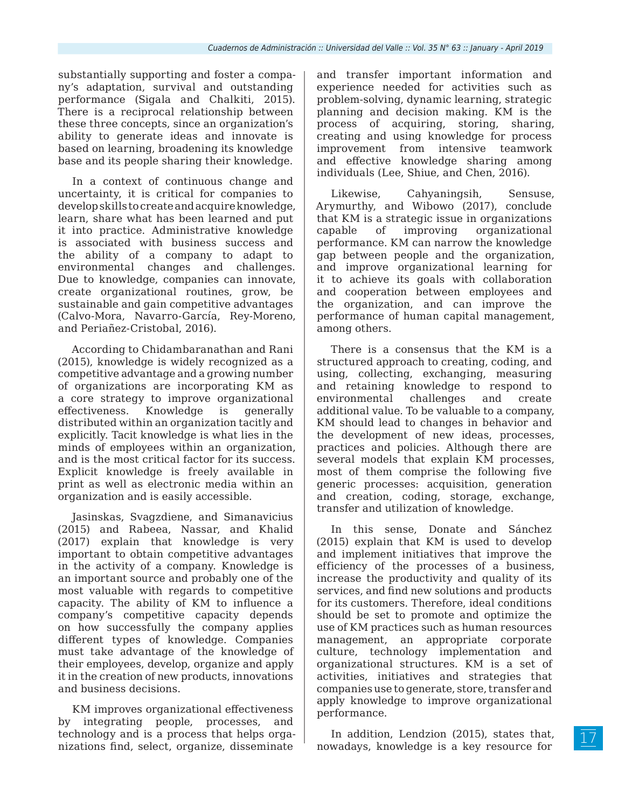substantially supporting and foster a company's adaptation, survival and outstanding performance (Sigala and Chalkiti, 2015). There is a reciprocal relationship between these three concepts, since an organization's ability to generate ideas and innovate is based on learning, broadening its knowledge base and its people sharing their knowledge.

In a context of continuous change and uncertainty, it is critical for companies to develop skills to create and acquire knowledge, learn, share what has been learned and put it into practice. Administrative knowledge is associated with business success and the ability of a company to adapt to environmental changes and challenges. Due to knowledge, companies can innovate, create organizational routines, grow, be sustainable and gain competitive advantages (Calvo-Mora, Navarro-García, Rey-Moreno, and Periañez-Cristobal, 2016).

According to Chidambaranathan and Rani (2015), knowledge is widely recognized as a competitive advantage and a growing number of organizations are incorporating KM as a core strategy to improve organizational effectiveness. Knowledge is generally distributed within an organization tacitly and explicitly. Tacit knowledge is what lies in the minds of employees within an organization, and is the most critical factor for its success. Explicit knowledge is freely available in print as well as electronic media within an organization and is easily accessible.

Jasinskas, Svagzdiene, and Simanavicius (2015) and Rabeea, Nassar, and Khalid (2017) explain that knowledge is very important to obtain competitive advantages in the activity of a company. Knowledge is an important source and probably one of the most valuable with regards to competitive capacity. The ability of KM to influence a company's competitive capacity depends on how successfully the company applies different types of knowledge. Companies must take advantage of the knowledge of their employees, develop, organize and apply it in the creation of new products, innovations and business decisions.

KM improves organizational effectiveness by integrating people, processes, and technology and is a process that helps organizations find, select, organize, disseminate

and transfer important information and experience needed for activities such as problem-solving, dynamic learning, strategic planning and decision making. KM is the process of acquiring, storing, sharing, creating and using knowledge for process improvement from intensive teamwork and effective knowledge sharing among individuals (Lee, Shiue, and Chen, 2016).

Likewise, Cahyaningsih, Sensuse, Arymurthy, and Wibowo (2017), conclude that KM is a strategic issue in organizations capable of improving organizational performance. KM can narrow the knowledge gap between people and the organization, and improve organizational learning for it to achieve its goals with collaboration and cooperation between employees and the organization, and can improve the performance of human capital management, among others.

There is a consensus that the KM is a structured approach to creating, coding, and using, collecting, exchanging, measuring and retaining knowledge to respond to environmental challenges and create additional value. To be valuable to a company, KM should lead to changes in behavior and the development of new ideas, processes, practices and policies. Although there are several models that explain KM processes, most of them comprise the following five generic processes: acquisition, generation and creation, coding, storage, exchange, transfer and utilization of knowledge.

In this sense, Donate and Sánchez (2015) explain that KM is used to develop and implement initiatives that improve the efficiency of the processes of a business, increase the productivity and quality of its services, and find new solutions and products for its customers. Therefore, ideal conditions should be set to promote and optimize the use of KM practices such as human resources management, an appropriate corporate culture, technology implementation and organizational structures. KM is a set of activities, initiatives and strategies that companies use to generate, store, transfer and apply knowledge to improve organizational performance.

In addition, Lendzion (2015), states that, nowadays, knowledge is a key resource for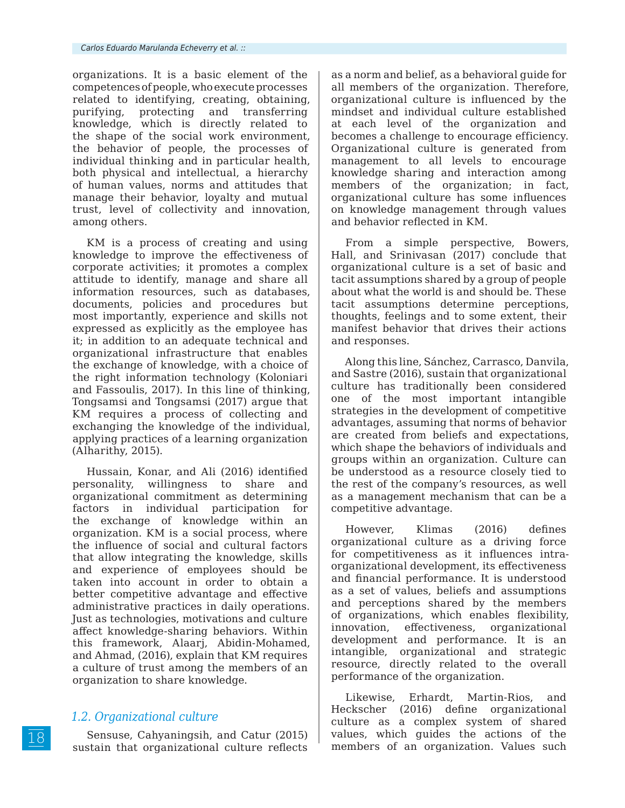organizations. It is a basic element of the competences of people, who execute processes related to identifying, creating, obtaining, purifying, protecting and transferring knowledge, which is directly related to the shape of the social work environment, the behavior of people, the processes of individual thinking and in particular health, both physical and intellectual, a hierarchy of human values, norms and attitudes that manage their behavior, loyalty and mutual trust, level of collectivity and innovation, among others.

KM is a process of creating and using knowledge to improve the effectiveness of corporate activities; it promotes a complex attitude to identify, manage and share all information resources, such as databases, documents, policies and procedures but most importantly, experience and skills not expressed as explicitly as the employee has it; in addition to an adequate technical and organizational infrastructure that enables the exchange of knowledge, with a choice of the right information technology (Koloniari and Fassoulis, 2017). In this line of thinking, Tongsamsi and Tongsamsi (2017) argue that KM requires a process of collecting and exchanging the knowledge of the individual, applying practices of a learning organization (Alharithy, 2015).

Hussain, Konar, and Ali (2016) identified personality, willingness to share and organizational commitment as determining factors in individual participation for the exchange of knowledge within an organization. KM is a social process, where the influence of social and cultural factors that allow integrating the knowledge, skills and experience of employees should be taken into account in order to obtain a better competitive advantage and effective administrative practices in daily operations. Just as technologies, motivations and culture affect knowledge-sharing behaviors. Within this framework, Alaarj, Abidin-Mohamed, and Ahmad, (2016), explain that KM requires a culture of trust among the members of an organization to share knowledge.

# *1.2. Organizational culture*

Sensuse, Cahyaningsih, and Catur (2015) sustain that organizational culture reflects as a norm and belief, as a behavioral guide for all members of the organization. Therefore, organizational culture is influenced by the mindset and individual culture established at each level of the organization and becomes a challenge to encourage efficiency. Organizational culture is generated from management to all levels to encourage knowledge sharing and interaction among members of the organization; in fact, organizational culture has some influences on knowledge management through values and behavior reflected in KM.

From a simple perspective, Bowers, Hall, and Srinivasan (2017) conclude that organizational culture is a set of basic and tacit assumptions shared by a group of people about what the world is and should be. These tacit assumptions determine perceptions, thoughts, feelings and to some extent, their manifest behavior that drives their actions and responses.

Along this line, Sánchez, Carrasco, Danvila, and Sastre (2016), sustain that organizational culture has traditionally been considered one of the most important intangible strategies in the development of competitive advantages, assuming that norms of behavior are created from beliefs and expectations, which shape the behaviors of individuals and groups within an organization. Culture can be understood as a resource closely tied to the rest of the company's resources, as well as a management mechanism that can be a competitive advantage.

However, Klimas (2016) defines organizational culture as a driving force for competitiveness as it influences intraorganizational development, its effectiveness and financial performance. It is understood as a set of values, beliefs and assumptions and perceptions shared by the members of organizations, which enables flexibility, innovation, effectiveness, organizational development and performance. It is an intangible, organizational and strategic resource, directly related to the overall performance of the organization.

Likewise, Erhardt, Martin-Rios, and Heckscher (2016) define organizational culture as a complex system of shared values, which guides the actions of the members of an organization. Values such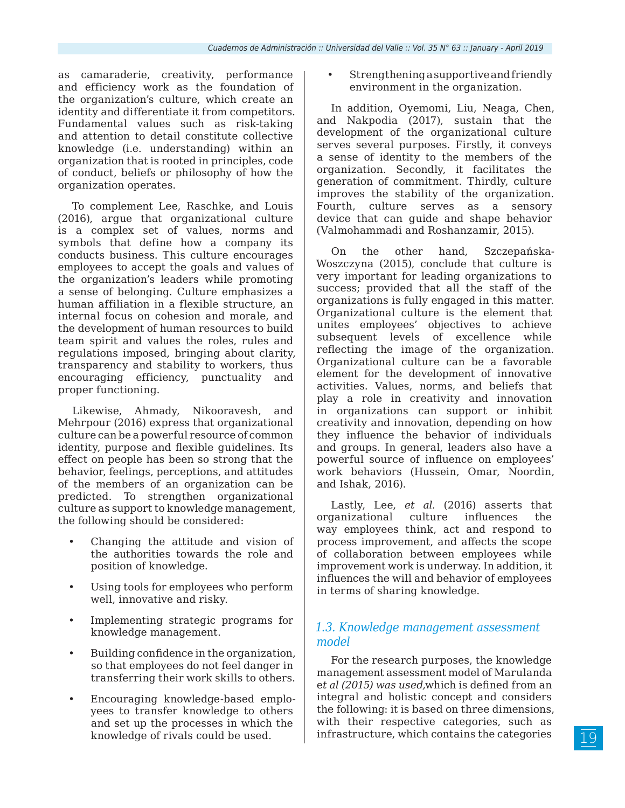as camaraderie, creativity, performance and efficiency work as the foundation of the organization's culture, which create an identity and differentiate it from competitors. Fundamental values such as risk-taking and attention to detail constitute collective knowledge (i.e. understanding) within an organization that is rooted in principles, code of conduct, beliefs or philosophy of how the organization operates.

To complement Lee, Raschke, and Louis (2016), argue that organizational culture is a complex set of values, norms and symbols that define how a company its conducts business. This culture encourages employees to accept the goals and values of the organization's leaders while promoting a sense of belonging. Culture emphasizes a human affiliation in a flexible structure, an internal focus on cohesion and morale, and the development of human resources to build team spirit and values the roles, rules and regulations imposed, bringing about clarity, transparency and stability to workers, thus encouraging efficiency, punctuality and proper functioning.

Likewise, Ahmady, Nikooravesh, and Mehrpour (2016) express that organizational culture can be a powerful resource of common identity, purpose and flexible guidelines. Its effect on people has been so strong that the behavior, feelings, perceptions, and attitudes of the members of an organization can be predicted. To strengthen organizational culture as support to knowledge management, the following should be considered:

- Changing the attitude and vision of the authorities towards the role and position of knowledge.
- Using tools for employees who perform well, innovative and risky.
- Implementing strategic programs for knowledge management.
- Building confidence in the organization, so that employees do not feel danger in transferring their work skills to others.
- Encouraging knowledge-based employees to transfer knowledge to others and set up the processes in which the knowledge of rivals could be used.

• Strengthening a supportive and friendly environment in the organization.

In addition, Oyemomi, Liu, Neaga, Chen, and Nakpodia (2017), sustain that the development of the organizational culture serves several purposes. Firstly, it conveys a sense of identity to the members of the organization. Secondly, it facilitates the generation of commitment. Thirdly, culture improves the stability of the organization. Fourth, culture serves as a sensory device that can guide and shape behavior (Valmohammadi and Roshanzamir, 2015).

On the other hand, Szczepańska-Woszczyna (2015), conclude that culture is very important for leading organizations to success; provided that all the staff of the organizations is fully engaged in this matter. Organizational culture is the element that unites employees' objectives to achieve subsequent levels of excellence while reflecting the image of the organization. Organizational culture can be a favorable element for the development of innovative activities. Values, norms, and beliefs that play a role in creativity and innovation in organizations can support or inhibit creativity and innovation, depending on how they influence the behavior of individuals and groups. In general, leaders also have a powerful source of influence on employees' work behaviors (Hussein, Omar, Noordin, and Ishak, 2016).

Lastly, Lee, *et al.* (2016) asserts that organizational culture influences the way employees think, act and respond to process improvement, and affects the scope of collaboration between employees while improvement work is underway. In addition, it influences the will and behavior of employees in terms of sharing knowledge.

# *1.3. Knowledge management assessment model*

For the research purposes, the knowledge management assessment model of Marulanda e*t al (2015) was used,*which is defined from an integral and holistic concept and considers the following: it is based on three dimensions, with their respective categories, such as infrastructure, which contains the categories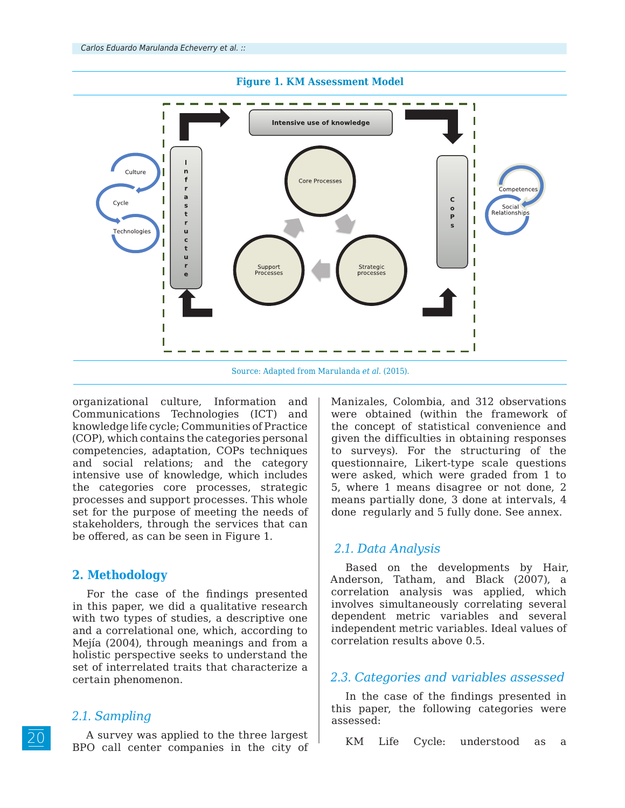

organizational culture, Information and Communications Technologies (ICT) and knowledge life cycle; Communities of Practice (COP), which contains the categories personal competencies, adaptation, COPs techniques and social relations; and the category intensive use of knowledge, which includes the categories core processes, strategic processes and support processes. This whole set for the purpose of meeting the needs of stakeholders, through the services that can be offered, as can be seen in Figure 1.

# **2. Methodology**

For the case of the findings presented in this paper, we did a qualitative research with two types of studies, a descriptive one and a correlational one, which, according to Mejía (2004), through meanings and from a holistic perspective seeks to understand the set of interrelated traits that characterize a certain phenomenon.

## *2.1. Sampling*

A survey was applied to the three largest BPO call center companies in the city of Manizales, Colombia, and 312 observations were obtained (within the framework of the concept of statistical convenience and given the difficulties in obtaining responses to surveys). For the structuring of the questionnaire, Likert-type scale questions were asked, which were graded from 1 to 5, where 1 means disagree or not done, 2 means partially done, 3 done at intervals, 4 done regularly and 5 fully done. See annex.

## *2.1. Data Analysis*

Based on the developments by Hair, Anderson, Tatham, and Black (2007), a correlation analysis was applied, which involves simultaneously correlating several dependent metric variables and several independent metric variables. Ideal values of correlation results above 0.5.

# *2.3. Categories and variables assessed*

In the case of the findings presented in this paper, the following categories were assessed:

KM Life Cycle: understood as a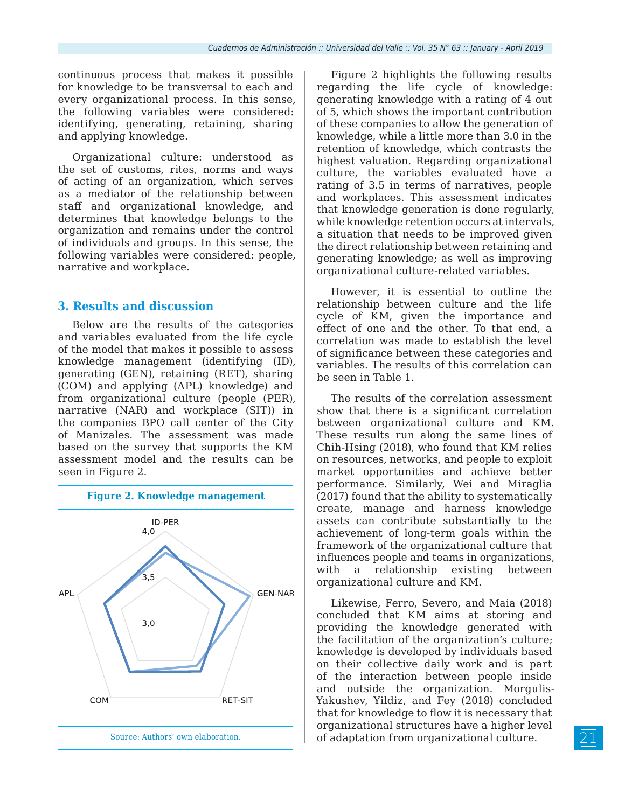continuous process that makes it possible for knowledge to be transversal to each and every organizational process. In this sense, the following variables were considered: identifying, generating, retaining, sharing and applying knowledge.

Organizational culture: understood as the set of customs, rites, norms and ways of acting of an organization, which serves as a mediator of the relationship between staff and organizational knowledge, and determines that knowledge belongs to the organization and remains under the control of individuals and groups. In this sense, the following variables were considered: people, narrative and workplace.

#### **3. Results and discussion**

Below are the results of the categories and variables evaluated from the life cycle of the model that makes it possible to assess knowledge management (identifying (ID), generating (GEN), retaining (RET), sharing (COM) and applying (APL) knowledge) and from organizational culture (people (PER), narrative (NAR) and workplace (SIT)) in the companies BPO call center of the City of Manizales. The assessment was made based on the survey that supports the KM assessment model and the results can be seen in Figure 2.



Figure 2 highlights the following results regarding the life cycle of knowledge: generating knowledge with a rating of 4 out of 5, which shows the important contribution of these companies to allow the generation of knowledge, while a little more than 3.0 in the retention of knowledge, which contrasts the highest valuation. Regarding organizational culture, the variables evaluated have a rating of 3.5 in terms of narratives, people and workplaces. This assessment indicates that knowledge generation is done regularly, while knowledge retention occurs at intervals, a situation that needs to be improved given the direct relationship between retaining and generating knowledge; as well as improving organizational culture-related variables.

However, it is essential to outline the relationship between culture and the life cycle of KM, given the importance and effect of one and the other. To that end, a correlation was made to establish the level of significance between these categories and variables. The results of this correlation can be seen in Table 1.

The results of the correlation assessment show that there is a significant correlation between organizational culture and KM. These results run along the same lines of Chih-Hsing (2018), who found that KM relies on resources, networks, and people to exploit market opportunities and achieve better performance. Similarly, Wei and Miraglia (2017) found that the ability to systematically create, manage and harness knowledge assets can contribute substantially to the achievement of long-term goals within the framework of the organizational culture that influences people and teams in organizations, with a relationship existing between organizational culture and KM.

Likewise, Ferro, Severo, and Maia (2018) concluded that KM aims at storing and providing the knowledge generated with the facilitation of the organization's culture; knowledge is developed by individuals based on their collective daily work and is part of the interaction between people inside and outside the organization. Morgulis-Yakushev, Yildiz, and Fey (2018) concluded that for knowledge to flow it is necessary that organizational structures have a higher level of adaptation from organizational culture.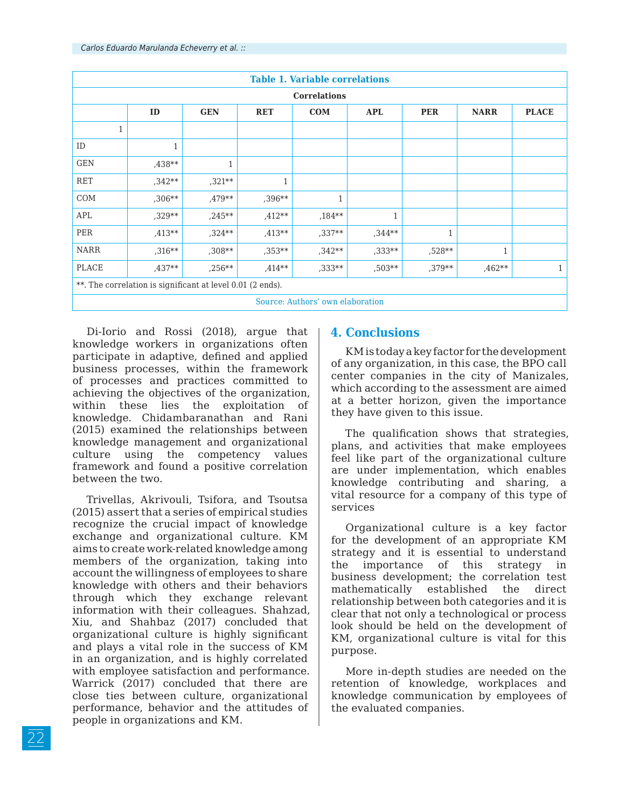| <b>Table 1. Variable correlations</b>                      |              |              |              |          |            |              |              |              |  |
|------------------------------------------------------------|--------------|--------------|--------------|----------|------------|--------------|--------------|--------------|--|
| <b>Correlations</b>                                        |              |              |              |          |            |              |              |              |  |
|                                                            | ID           | <b>GEN</b>   | <b>RET</b>   | COM      | <b>APL</b> | <b>PER</b>   | <b>NARR</b>  | <b>PLACE</b> |  |
| $\mathbf{1}$                                               |              |              |              |          |            |              |              |              |  |
| ID                                                         | $\mathbf{1}$ |              |              |          |            |              |              |              |  |
| <b>GEN</b>                                                 | ,438**       | $\mathbf{1}$ |              |          |            |              |              |              |  |
| <b>RET</b>                                                 | $,342**$     | $,321***$    | $\mathbf{1}$ |          |            |              |              |              |  |
| COM                                                        | $,306**$     | ,479**       | ,396**       | 1        |            |              |              |              |  |
| APL                                                        | $.329**$     | $.245**$     | $.412**$     | $,184**$ |            |              |              |              |  |
| PER                                                        | $.413**$     | $,324**$     | ,413**       | $,337**$ | $,344**$   | $\mathbf{1}$ |              |              |  |
| <b>NARR</b>                                                | ,316**       | $,308**$     | $,353**$     | $,342**$ | $,333**$   | ,528**       | $\mathbf{1}$ |              |  |
| PLACE                                                      | $.437**$     | $,256***$    | $.414**$     | ,333**   | ,503**     | ,379**       | ,462**       | $\mathbf{1}$ |  |
| **. The correlation is significant at level 0.01 (2 ends). |              |              |              |          |            |              |              |              |  |
| Source: Authors' own elaboration                           |              |              |              |          |            |              |              |              |  |

Di-Iorio and Rossi (2018), argue that knowledge workers in organizations often participate in adaptive, defined and applied business processes, within the framework of processes and practices committed to achieving the objectives of the organization, within these lies the exploitation of knowledge. Chidambaranathan and Rani (2015) examined the relationships between knowledge management and organizational culture using the competency values framework and found a positive correlation between the two.

Trivellas, Akrivouli, Tsifora, and Tsoutsa (2015) assert that a series of empirical studies recognize the crucial impact of knowledge exchange and organizational culture. KM aims to create work-related knowledge among members of the organization, taking into account the willingness of employees to share knowledge with others and their behaviors through which they exchange relevant information with their colleagues. Shahzad, Xiu, and Shahbaz (2017) concluded that organizational culture is highly significant and plays a vital role in the success of KM in an organization, and is highly correlated with employee satisfaction and performance. Warrick (2017) concluded that there are close ties between culture, organizational performance, behavior and the attitudes of people in organizations and KM.

# **4. Conclusions**

KM is today a key factor for the development of any organization, in this case, the BPO call center companies in the city of Manizales, which according to the assessment are aimed at a better horizon, given the importance they have given to this issue.

The qualification shows that strategies, plans, and activities that make employees feel like part of the organizational culture are under implementation, which enables knowledge contributing and sharing, a vital resource for a company of this type of services

Organizational culture is a key factor for the development of an appropriate KM strategy and it is essential to understand the importance of this strategy in business development; the correlation test mathematically established the direct relationship between both categories and it is clear that not only a technological or process look should be held on the development of KM, organizational culture is vital for this purpose.

More in-depth studies are needed on the retention of knowledge, workplaces and knowledge communication by employees of the evaluated companies.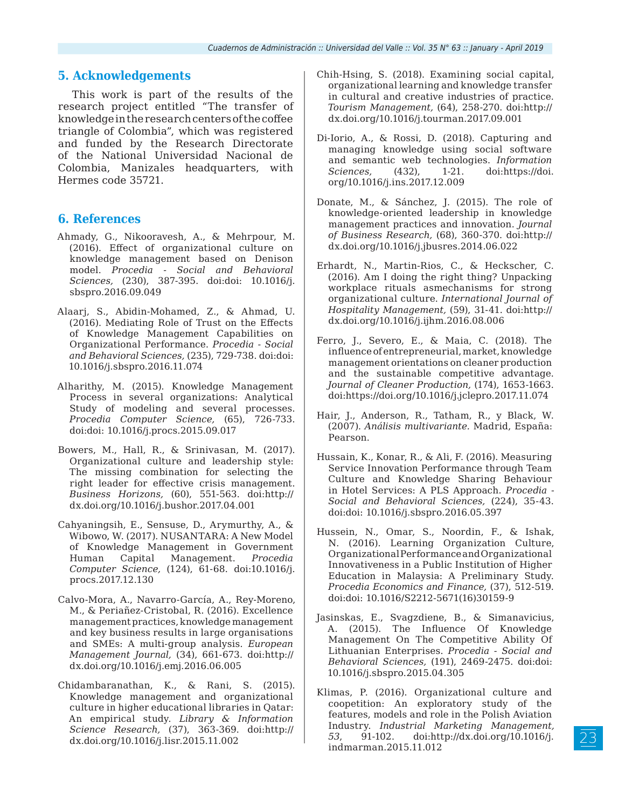# **5. Acknowledgements**

This work is part of the results of the research project entitled "The transfer of knowledge in the research centers of the coffee triangle of Colombia", which was registered and funded by the Research Directorate of the National Universidad Nacional de Colombia, Manizales headquarters, with Hermes code 35721.

#### **6. References**

- Ahmady, G., Nikooravesh, A., & Mehrpour, M. (2016). Effect of organizational culture on knowledge management based on Denison model. *Procedia - Social and Behavioral Sciences,* (230), 387-395. doi:doi: 10.1016/j. sbspro.2016.09.049
- Alaarj, S., Abidin-Mohamed, Z., & Ahmad, U. (2016). Mediating Role of Trust on the Effects of Knowledge Management Capabilities on Organizational Performance. *Procedia - Social and Behavioral Sciences,* (235), 729-738. doi:doi: 10.1016/j.sbspro.2016.11.074
- Alharithy, M. (2015). Knowledge Management Process in several organizations: Analytical Study of modeling and several processes. *Procedia Computer Science,* (65), 726-733. doi:doi: 10.1016/j.procs.2015.09.017
- Bowers, M., Hall, R., & Srinivasan, M. (2017). Organizational culture and leadership style: The missing combination for selecting the right leader for effective crisis management. *Business Horizons,* (60), 551-563. doi:http:// dx.doi.org/10.1016/j.bushor.2017.04.001
- Cahyaningsih, E., Sensuse, D., Arymurthy, A., & Wibowo, W. (2017). NUSANTARA: A New Model of Knowledge Management in Government Human Capital Management. *Procedia Computer Science,* (124), 61-68. doi:10.1016/j. procs.2017.12.130
- Calvo-Mora, A., Navarro-García, A., Rey-Moreno, M., & Periañez-Cristobal, R. (2016). Excellence management practices, knowledge management and key business results in large organisations and SMEs: A multi-group analysis. *European Management Journal,* (34), 661-673. doi:http:// dx.doi.org/10.1016/j.emj.2016.06.005
- Chidambaranathan, K., & Rani, S. (2015). Knowledge management and organizational culture in higher educational libraries in Qatar: An empirical study. *Library & Information Science Research,* (37), 363-369. doi:http:// dx.doi.org/10.1016/j.lisr.2015.11.002
- Chih-Hsing, S. (2018). Examining social capital, organizational learning and knowledge transfer in cultural and creative industries of practice. *Tourism Management,* (64), 258-270. doi:http:// dx.doi.org/10.1016/j.tourman.2017.09.001
- Di-Iorio, A., & Rossi, D. (2018). Capturing and managing knowledge using social software and semantic web technologies. *Information Sciences,* (432), 1-21. doi:https://doi. org/10.1016/j.ins.2017.12.009
- Donate, M., & Sánchez, J. (2015). The role of knowledge-oriented leadership in knowledge management practices and innovation. *Journal of Business Research,* (68), 360-370. doi:http:// dx.doi.org/10.1016/j.jbusres.2014.06.022
- Erhardt, N., Martin-Rios, C., & Heckscher, C. (2016). Am I doing the right thing? Unpacking workplace rituals asmechanisms for strong organizational culture. *International Journal of Hospitality Management,* (59), 31-41. doi:http:// dx.doi.org/10.1016/j.ijhm.2016.08.006
- Ferro, J., Severo, E., & Maia, C. (2018). The influence of entrepreneurial, market, knowledge management orientations on cleaner production and the sustainable competitive advantage. *Journal of Cleaner Production,* (174), 1653-1663. doi:https://doi.org/10.1016/j.jclepro.2017.11.074
- Hair, J., Anderson, R., Tatham, R., y Black, W. (2007). *Análisis multivariante.* Madrid, España: Pearson.
- Hussain, K., Konar, R., & Ali, F. (2016). Measuring Service Innovation Performance through Team Culture and Knowledge Sharing Behaviour in Hotel Services: A PLS Approach. *Procedia - Social and Behavioral Sciences,* (224), 35-43. doi:doi: 10.1016/j.sbspro.2016.05.397
- Hussein, N., Omar, S., Noordin, F., & Ishak, N. (2016). Learning Organization Culture, Organizational Performance and Organizational Innovativeness in a Public Institution of Higher Education in Malaysia: A Preliminary Study. *Procedia Economics and Finance,* (37), 512-519. doi:doi: 10.1016/S2212-5671(16)30159-9
- Jasinskas, E., Svagzdiene, B., & Simanavicius, A. (2015). The Influence Of Knowledge Management On The Competitive Ability Of Lithuanian Enterprises. *Procedia - Social and Behavioral Sciences,* (191), 2469-2475. doi:doi: 10.1016/j.sbspro.2015.04.305
- Klimas, P. (2016). Organizational culture and coopetition: An exploratory study of the features, models and role in the Polish Aviation Industry. *Industrial Marketing Management, 53*, 91-102. doi:http://dx.doi.org/10.1016/j. indmarman.2015.11.012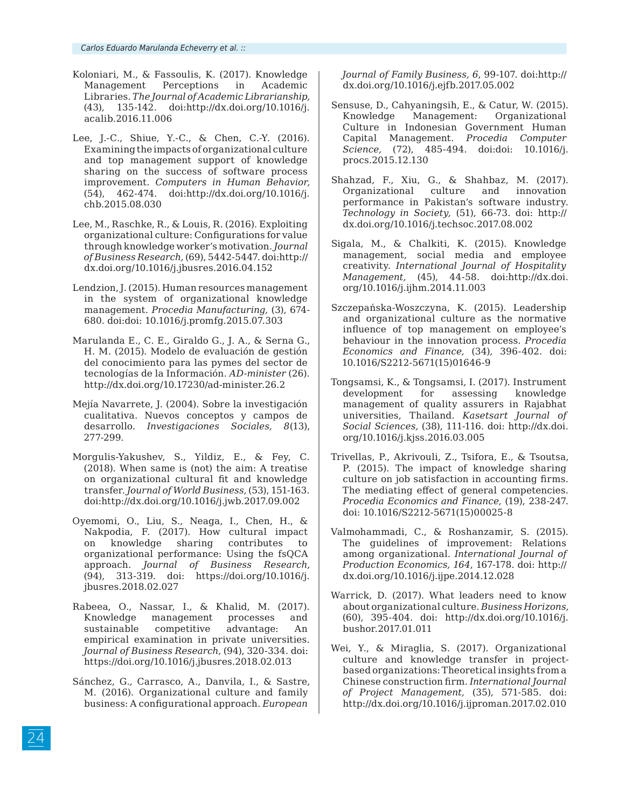- Koloniari, M., & Fassoulis, K. (2017). Knowledge Management Perceptions in Academic Libraries. *The Journal of Academic Librarianship,*  (43), 135-142. doi:http://dx.doi.org/10.1016/j. acalib.2016.11.006
- Lee, J.-C., Shiue, Y.-C., & Chen, C.-Y. (2016). Examining the impacts of organizational culture and top management support of knowledge sharing on the success of software process improvement. *Computers in Human Behavior,*  (54), 462-474. doi:http://dx.doi.org/10.1016/j. chb.2015.08.030
- Lee, M., Raschke, R., & Louis, R. (2016). Exploiting organizational culture: Configurations for value through knowledge worker's motivation. *Journal of Business Research,* (69), 5442-5447. doi:http:// dx.doi.org/10.1016/j.jbusres.2016.04.152
- Lendzion, J. (2015). Human resources management in the system of organizational knowledge management. *Procedia Manufacturing,* (3), 674- 680. doi:doi: 10.1016/j.promfg.2015.07.303
- Marulanda E., C. E., Giraldo G., J. A., & Serna G., H. M. (2015). Modelo de evaluación de gestión del conocimiento para las pymes del sector de tecnologías de la Información. *AD-minister* (26). http://dx.doi.org/10.17230/ad-minister.26.2
- Mejía Navarrete, J. (2004). Sobre la investigación cualitativa. Nuevos conceptos y campos de desarrollo. *Investigaciones Sociales, 8*(13), 277-299.
- Morgulis-Yakushev, S., Yildiz, E., & Fey, C. (2018). When same is (not) the aim: A treatise on organizational cultural fit and knowledge transfer. *Journal of World Business,* (53), 151-163. doi:http://dx.doi.org/10.1016/j.jwb.2017.09.002
- Oyemomi, O., Liu, S., Neaga, I., Chen, H., & Nakpodia, F. (2017). How cultural impact on knowledge sharing contributes to organizational performance: Using the fsQCA approach. *Journal of Business Research*, (94)*,* 313-319. doi: https://doi.org/10.1016/j. jbusres.2018.02.027
- Rabeea, O., Nassar, I., & Khalid, M. (2017). Knowledge management processes and sustainable competitive advantage: An empirical examination in private universities. *Journal of Business Research*, (94), 320-334. doi: https://doi.org/10.1016/j.jbusres.2018.02.013
- Sánchez, G., Carrasco, A., Danvila, I., & Sastre, M. (2016). Organizational culture and family business: A configurational approach. *European*

*Journal of Family Business, 6*, 99-107. doi:http:// dx.doi.org/10.1016/j.ejfb.2017.05.002

- Sensuse, D., Cahyaningsih, E., & Catur, W. (2015). Knowledge Management: Organizational Culture in Indonesian Government Human Capital Management. *Procedia Computer Science,* (72), 485-494. doi:doi: 10.1016/j. procs.2015.12.130
- Shahzad, F., Xiu, G., & Shahbaz, M. (2017). Organizational culture and innovation performance in Pakistan's software industry. *Technology in Society,* (51), 66-73. doi: http:// dx.doi.org/10.1016/j.techsoc.2017.08.002
- Sigala, M., & Chalkiti, K. (2015). Knowledge management, social media and employee creativity. *International Journal of Hospitality Management,* (45), 44-58. doi:http://dx.doi. org/10.1016/j.ijhm.2014.11.003
- Szczepańska-Woszczyna, K. (2015). Leadership and organizational culture as the normative influence of top management on employee's behaviour in the innovation process. *Procedia Economics and Finance,* (34), 396-402. doi: 10.1016/S2212-5671(15)01646-9
- Tongsamsi, K., & Tongsamsi, I. (2017). Instrument development for assessing knowledge management of quality assurers in Rajabhat universities, Thailand. *Kasetsart Journal of Social Sciences,* (38), 111-116. doi: http://dx.doi. org/10.1016/j.kjss.2016.03.005
- Trivellas, P., Akrivouli, Z., Tsifora, E., & Tsoutsa, P. (2015). The impact of knowledge sharing culture on job satisfaction in accounting firms. The mediating effect of general competencies. *Procedia Economics and Finance,* (19), 238-247. doi: 10.1016/S2212-5671(15)00025-8
- Valmohammadi, C., & Roshanzamir, S. (2015). The guidelines of improvement: Relations among organizational. *International Journal of Production Economics, 164*, 167-178. doi: http:// dx.doi.org/10.1016/j.ijpe.2014.12.028
- Warrick, D. (2017). What leaders need to know about organizational culture. *Business Horizons,*  (60), 395-404. doi: http://dx.doi.org/10.1016/j. bushor.2017.01.011
- Wei, Y., & Miraglia, S. (2017). Organizational culture and knowledge transfer in projectbased organizations: Theoretical insights from a Chinese construction firm. *International Journal of Project Management,* (35), 571-585. doi: http://dx.doi.org/10.1016/j.ijproman.2017.02.010